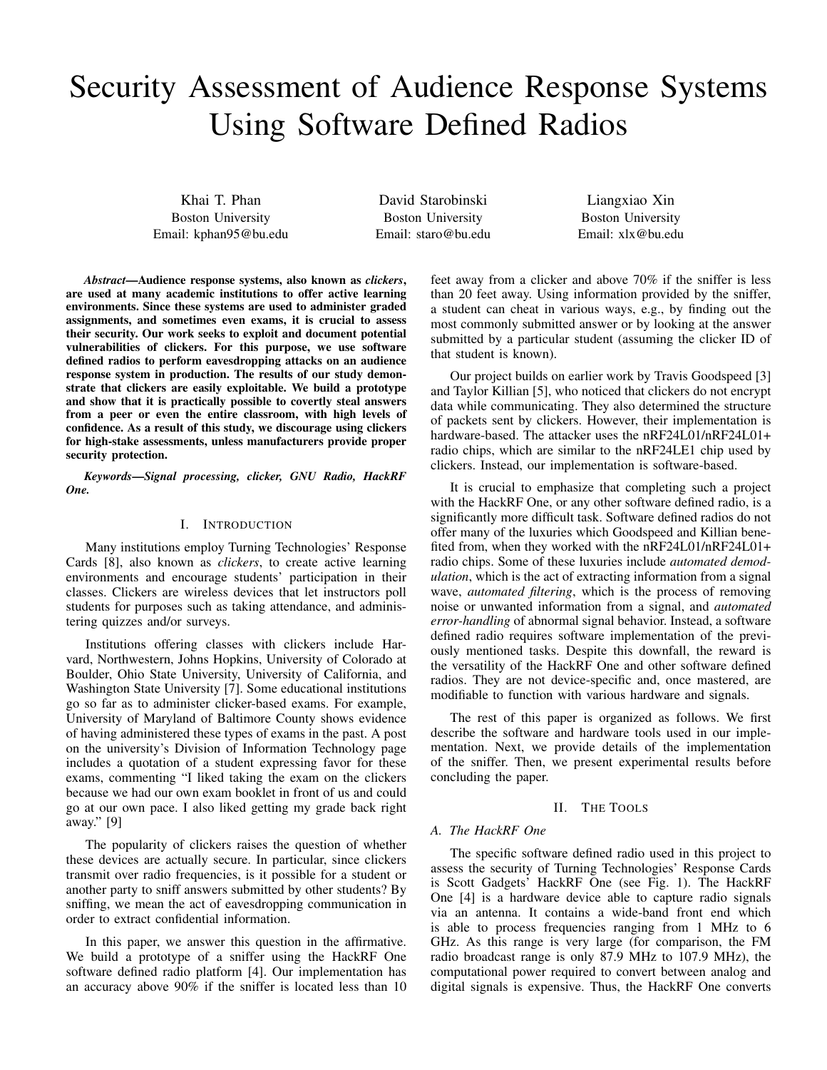# Security Assessment of Audience Response Systems Using Software Defined Radios

Khai T. Phan Boston University Email: kphan95@bu.edu

David Starobinski Boston University Email: staro@bu.edu

Liangxiao Xin Boston University Email: xlx@bu.edu

*Abstract*—Audience response systems, also known as *clickers*, are used at many academic institutions to offer active learning environments. Since these systems are used to administer graded assignments, and sometimes even exams, it is crucial to assess their security. Our work seeks to exploit and document potential vulnerabilities of clickers. For this purpose, we use software defined radios to perform eavesdropping attacks on an audience response system in production. The results of our study demonstrate that clickers are easily exploitable. We build a prototype and show that it is practically possible to covertly steal answers from a peer or even the entire classroom, with high levels of confidence. As a result of this study, we discourage using clickers for high-stake assessments, unless manufacturers provide proper security protection.

*Keywords*—*Signal processing, clicker, GNU Radio, HackRF One.*

### I. INTRODUCTION

Many institutions employ Turning Technologies' Response Cards [8], also known as *clickers*, to create active learning environments and encourage students' participation in their classes. Clickers are wireless devices that let instructors poll students for purposes such as taking attendance, and administering quizzes and/or surveys.

Institutions offering classes with clickers include Harvard, Northwestern, Johns Hopkins, University of Colorado at Boulder, Ohio State University, University of California, and Washington State University [7]. Some educational institutions go so far as to administer clicker-based exams. For example, University of Maryland of Baltimore County shows evidence of having administered these types of exams in the past. A post on the university's Division of Information Technology page includes a quotation of a student expressing favor for these exams, commenting "I liked taking the exam on the clickers because we had our own exam booklet in front of us and could go at our own pace. I also liked getting my grade back right away." [9]

The popularity of clickers raises the question of whether these devices are actually secure. In particular, since clickers transmit over radio frequencies, is it possible for a student or another party to sniff answers submitted by other students? By sniffing, we mean the act of eavesdropping communication in order to extract confidential information.

In this paper, we answer this question in the affirmative. We build a prototype of a sniffer using the HackRF One software defined radio platform [4]. Our implementation has an accuracy above 90% if the sniffer is located less than 10 feet away from a clicker and above 70% if the sniffer is less than 20 feet away. Using information provided by the sniffer, a student can cheat in various ways, e.g., by finding out the most commonly submitted answer or by looking at the answer submitted by a particular student (assuming the clicker ID of that student is known).

Our project builds on earlier work by Travis Goodspeed [3] and Taylor Killian [5], who noticed that clickers do not encrypt data while communicating. They also determined the structure of packets sent by clickers. However, their implementation is hardware-based. The attacker uses the nRF24L01/nRF24L01+ radio chips, which are similar to the nRF24LE1 chip used by clickers. Instead, our implementation is software-based.

It is crucial to emphasize that completing such a project with the HackRF One, or any other software defined radio, is a significantly more difficult task. Software defined radios do not offer many of the luxuries which Goodspeed and Killian benefited from, when they worked with the nRF24L01/nRF24L01+ radio chips. Some of these luxuries include *automated demodulation*, which is the act of extracting information from a signal wave, *automated filtering*, which is the process of removing noise or unwanted information from a signal, and *automated error-handling* of abnormal signal behavior. Instead, a software defined radio requires software implementation of the previously mentioned tasks. Despite this downfall, the reward is the versatility of the HackRF One and other software defined radios. They are not device-specific and, once mastered, are modifiable to function with various hardware and signals.

The rest of this paper is organized as follows. We first describe the software and hardware tools used in our implementation. Next, we provide details of the implementation of the sniffer. Then, we present experimental results before concluding the paper.

## II. THE TOOLS

### *A. The HackRF One*

The specific software defined radio used in this project to assess the security of Turning Technologies' Response Cards is Scott Gadgets' HackRF One (see Fig. 1). The HackRF One [4] is a hardware device able to capture radio signals via an antenna. It contains a wide-band front end which is able to process frequencies ranging from 1 MHz to 6 GHz. As this range is very large (for comparison, the FM radio broadcast range is only 87.9 MHz to 107.9 MHz), the computational power required to convert between analog and digital signals is expensive. Thus, the HackRF One converts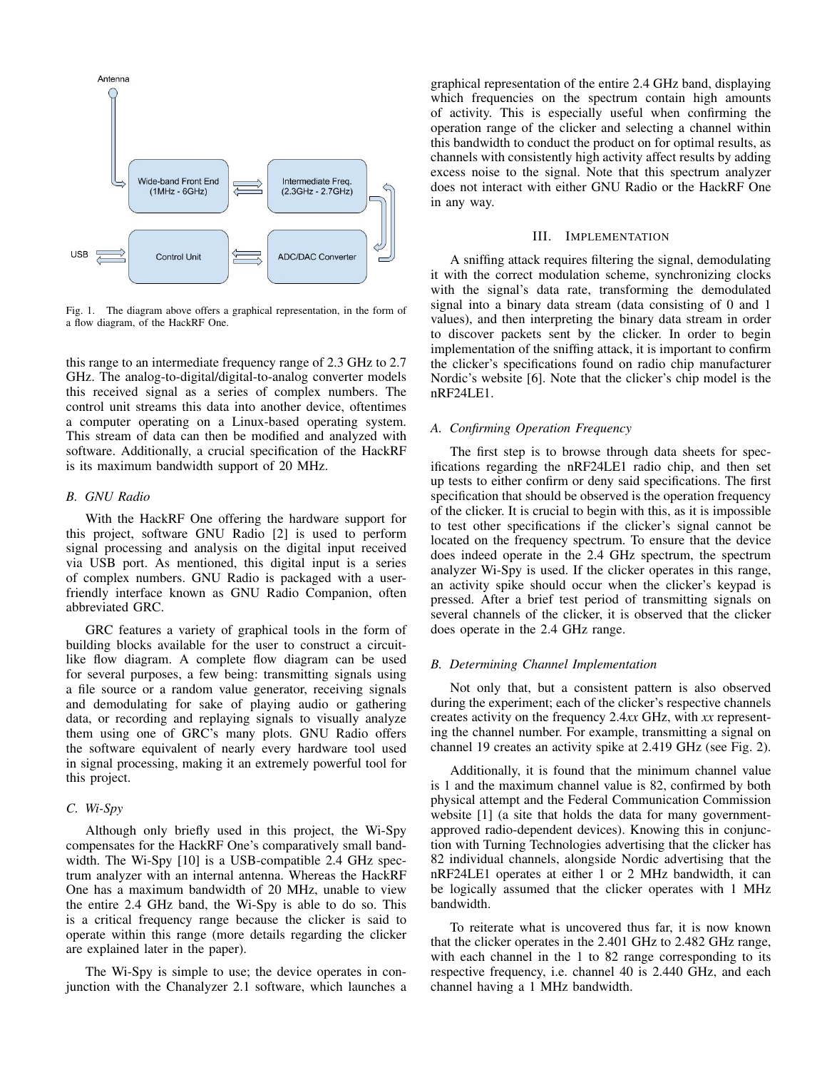

Fig. 1. The diagram above offers a graphical representation, in the form of a flow diagram, of the HackRF One.

this range to an intermediate frequency range of 2.3 GHz to 2.7 GHz. The analog-to-digital/digital-to-analog converter models this received signal as a series of complex numbers. The control unit streams this data into another device, oftentimes a computer operating on a Linux-based operating system. This stream of data can then be modified and analyzed with software. Additionally, a crucial specification of the HackRF is its maximum bandwidth support of 20 MHz.

# *B. GNU Radio*

With the HackRF One offering the hardware support for this project, software GNU Radio [2] is used to perform signal processing and analysis on the digital input received via USB port. As mentioned, this digital input is a series of complex numbers. GNU Radio is packaged with a userfriendly interface known as GNU Radio Companion, often abbreviated GRC.

GRC features a variety of graphical tools in the form of building blocks available for the user to construct a circuitlike flow diagram. A complete flow diagram can be used for several purposes, a few being: transmitting signals using a file source or a random value generator, receiving signals and demodulating for sake of playing audio or gathering data, or recording and replaying signals to visually analyze them using one of GRC's many plots. GNU Radio offers the software equivalent of nearly every hardware tool used in signal processing, making it an extremely powerful tool for this project.

# *C. Wi-Spy*

Although only briefly used in this project, the Wi-Spy compensates for the HackRF One's comparatively small bandwidth. The Wi-Spy [10] is a USB-compatible 2.4 GHz spectrum analyzer with an internal antenna. Whereas the HackRF One has a maximum bandwidth of 20 MHz, unable to view the entire 2.4 GHz band, the Wi-Spy is able to do so. This is a critical frequency range because the clicker is said to operate within this range (more details regarding the clicker are explained later in the paper).

The Wi-Spy is simple to use; the device operates in conjunction with the Chanalyzer 2.1 software, which launches a graphical representation of the entire 2.4 GHz band, displaying which frequencies on the spectrum contain high amounts of activity. This is especially useful when confirming the operation range of the clicker and selecting a channel within this bandwidth to conduct the product on for optimal results, as channels with consistently high activity affect results by adding excess noise to the signal. Note that this spectrum analyzer does not interact with either GNU Radio or the HackRF One in any way.

## III. IMPLEMENTATION

A sniffing attack requires filtering the signal, demodulating it with the correct modulation scheme, synchronizing clocks with the signal's data rate, transforming the demodulated signal into a binary data stream (data consisting of 0 and 1 values), and then interpreting the binary data stream in order to discover packets sent by the clicker. In order to begin implementation of the sniffing attack, it is important to confirm the clicker's specifications found on radio chip manufacturer Nordic's website [6]. Note that the clicker's chip model is the nRF24LE1.

# *A. Confirming Operation Frequency*

The first step is to browse through data sheets for specifications regarding the nRF24LE1 radio chip, and then set up tests to either confirm or deny said specifications. The first specification that should be observed is the operation frequency of the clicker. It is crucial to begin with this, as it is impossible to test other specifications if the clicker's signal cannot be located on the frequency spectrum. To ensure that the device does indeed operate in the 2.4 GHz spectrum, the spectrum analyzer Wi-Spy is used. If the clicker operates in this range, an activity spike should occur when the clicker's keypad is pressed. After a brief test period of transmitting signals on several channels of the clicker, it is observed that the clicker does operate in the 2.4 GHz range.

## *B. Determining Channel Implementation*

Not only that, but a consistent pattern is also observed during the experiment; each of the clicker's respective channels creates activity on the frequency 2.4*xx* GHz, with *xx* representing the channel number. For example, transmitting a signal on channel 19 creates an activity spike at 2.419 GHz (see Fig. 2).

Additionally, it is found that the minimum channel value is 1 and the maximum channel value is 82, confirmed by both physical attempt and the Federal Communication Commission website [1] (a site that holds the data for many governmentapproved radio-dependent devices). Knowing this in conjunction with Turning Technologies advertising that the clicker has 82 individual channels, alongside Nordic advertising that the nRF24LE1 operates at either 1 or 2 MHz bandwidth, it can be logically assumed that the clicker operates with 1 MHz bandwidth.

To reiterate what is uncovered thus far, it is now known that the clicker operates in the 2.401 GHz to 2.482 GHz range, with each channel in the 1 to 82 range corresponding to its respective frequency, i.e. channel 40 is 2.440 GHz, and each channel having a 1 MHz bandwidth.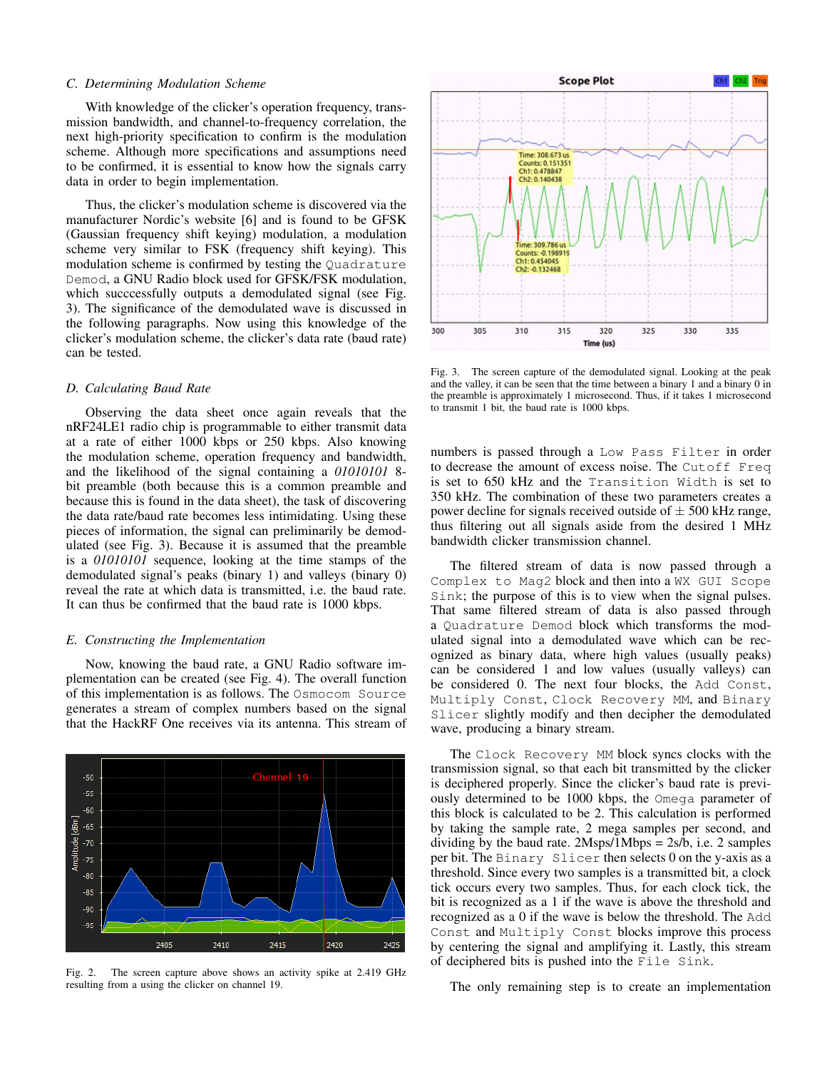### *C. Determining Modulation Scheme*

With knowledge of the clicker's operation frequency, transmission bandwidth, and channel-to-frequency correlation, the next high-priority specification to confirm is the modulation scheme. Although more specifications and assumptions need to be confirmed, it is essential to know how the signals carry data in order to begin implementation.

Thus, the clicker's modulation scheme is discovered via the manufacturer Nordic's website [6] and is found to be GFSK (Gaussian frequency shift keying) modulation, a modulation scheme very similar to FSK (frequency shift keying). This modulation scheme is confirmed by testing the Quadrature Demod, a GNU Radio block used for GFSK/FSK modulation, which succcessfully outputs a demodulated signal (see Fig. 3). The significance of the demodulated wave is discussed in the following paragraphs. Now using this knowledge of the clicker's modulation scheme, the clicker's data rate (baud rate) can be tested.

## *D. Calculating Baud Rate*

Observing the data sheet once again reveals that the nRF24LE1 radio chip is programmable to either transmit data at a rate of either 1000 kbps or 250 kbps. Also knowing the modulation scheme, operation frequency and bandwidth, and the likelihood of the signal containing a *01010101* 8 bit preamble (both because this is a common preamble and because this is found in the data sheet), the task of discovering the data rate/baud rate becomes less intimidating. Using these pieces of information, the signal can preliminarily be demodulated (see Fig. 3). Because it is assumed that the preamble is a *01010101* sequence, looking at the time stamps of the demodulated signal's peaks (binary 1) and valleys (binary 0) reveal the rate at which data is transmitted, i.e. the baud rate. It can thus be confirmed that the baud rate is 1000 kbps.

#### *E. Constructing the Implementation*

Now, knowing the baud rate, a GNU Radio software implementation can be created (see Fig. 4). The overall function of this implementation is as follows. The Osmocom Source generates a stream of complex numbers based on the signal that the HackRF One receives via its antenna. This stream of



Fig. 2. The screen capture above shows an activity spike at 2.419 GHz resulting from a using the clicker on channel 19.



Fig. 3. The screen capture of the demodulated signal. Looking at the peak and the valley, it can be seen that the time between a binary 1 and a binary 0 in the preamble is approximately 1 microsecond. Thus, if it takes 1 microsecond to transmit 1 bit, the baud rate is 1000 kbps.

numbers is passed through a Low Pass Filter in order to decrease the amount of excess noise. The Cutoff Freq is set to 650 kHz and the Transition Width is set to 350 kHz. The combination of these two parameters creates a power decline for signals received outside of  $\pm$  500 kHz range, thus filtering out all signals aside from the desired 1 MHz bandwidth clicker transmission channel.

The filtered stream of data is now passed through a Complex to Mag2 block and then into a WX GUI Scope Sink; the purpose of this is to view when the signal pulses. That same filtered stream of data is also passed through a Quadrature Demod block which transforms the modulated signal into a demodulated wave which can be recognized as binary data, where high values (usually peaks) can be considered 1 and low values (usually valleys) can be considered 0. The next four blocks, the Add Const, Multiply Const, Clock Recovery MM, and Binary Slicer slightly modify and then decipher the demodulated wave, producing a binary stream.

The Clock Recovery MM block syncs clocks with the transmission signal, so that each bit transmitted by the clicker is deciphered properly. Since the clicker's baud rate is previously determined to be 1000 kbps, the Omega parameter of this block is calculated to be 2. This calculation is performed by taking the sample rate, 2 mega samples per second, and dividing by the baud rate.  $2Msps/1Mbps = 2s/b$ , i.e. 2 samples per bit. The Binary Slicer then selects 0 on the y-axis as a threshold. Since every two samples is a transmitted bit, a clock tick occurs every two samples. Thus, for each clock tick, the bit is recognized as a 1 if the wave is above the threshold and recognized as a 0 if the wave is below the threshold. The Add Const and Multiply Const blocks improve this process by centering the signal and amplifying it. Lastly, this stream of deciphered bits is pushed into the File Sink.

The only remaining step is to create an implementation